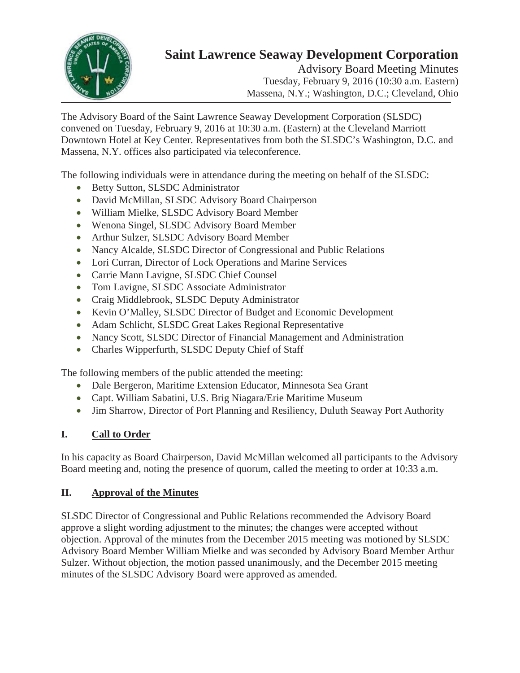

# **Saint Lawrence Seaway Development Corporation**

Advisory Board Meeting Minutes Tuesday, February 9, 2016 (10:30 a.m. Eastern) Massena, N.Y.; Washington, D.C.; Cleveland, Ohio

The Advisory Board of the Saint Lawrence Seaway Development Corporation (SLSDC) convened on Tuesday, February 9, 2016 at 10:30 a.m. (Eastern) at the Cleveland Marriott Downtown Hotel at Key Center. Representatives from both the SLSDC's Washington, D.C. and Massena, N.Y. offices also participated via teleconference.

The following individuals were in attendance during the meeting on behalf of the SLSDC:

- Betty Sutton, SLSDC Administrator
- David McMillan, SLSDC Advisory Board Chairperson
- x William Mielke, SLSDC Advisory Board Member
- Wenona Singel, SLSDC Advisory Board Member
- Arthur Sulzer, SLSDC Advisory Board Member
- Nancy Alcalde, SLSDC Director of Congressional and Public Relations
- Lori Curran, Director of Lock Operations and Marine Services
- Carrie Mann Lavigne, SLSDC Chief Counsel
- Tom Lavigne, SLSDC Associate Administrator
- Craig Middlebrook, SLSDC Deputy Administrator
- Kevin O'Malley, SLSDC Director of Budget and Economic Development
- Adam Schlicht, SLSDC Great Lakes Regional Representative
- Nancy Scott, SLSDC Director of Financial Management and Administration
- Charles Wipperfurth, SLSDC Deputy Chief of Staff

The following members of the public attended the meeting:

- Dale Bergeron, Maritime Extension Educator, Minnesota Sea Grant
- Capt. William Sabatini, U.S. Brig Niagara/Erie Maritime Museum
- Jim Sharrow, Director of Port Planning and Resiliency, Duluth Seaway Port Authority

#### **I. Call to Order**

In his capacity as Board Chairperson, David McMillan welcomed all participants to the Advisory Board meeting and, noting the presence of quorum, called the meeting to order at 10:33 a.m.

#### **II. Approval of the Minutes**

SLSDC Director of Congressional and Public Relations recommended the Advisory Board approve a slight wording adjustment to the minutes; the changes were accepted without objection. Approval of the minutes from the December 2015 meeting was motioned by SLSDC Advisory Board Member William Mielke and was seconded by Advisory Board Member Arthur Sulzer. Without objection, the motion passed unanimously, and the December 2015 meeting minutes of the SLSDC Advisory Board were approved as amended.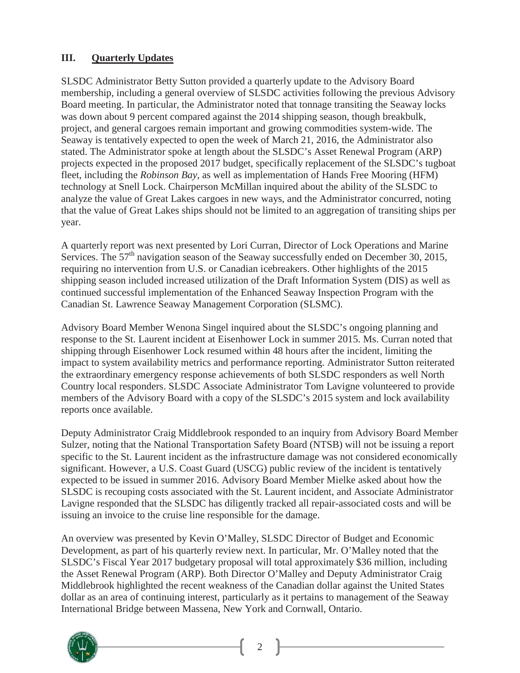#### **III. Quarterly Updates**

SLSDC Administrator Betty Sutton provided a quarterly update to the Advisory Board membership, including a general overview of SLSDC activities following the previous Advisory Board meeting. In particular, the Administrator noted that tonnage transiting the Seaway locks was down about 9 percent compared against the 2014 shipping season, though breakbulk, project, and general cargoes remain important and growing commodities system-wide. The Seaway is tentatively expected to open the week of March 21, 2016, the Administrator also stated. The Administrator spoke at length about the SLSDC's Asset Renewal Program (ARP) projects expected in the proposed 2017 budget, specifically replacement of the SLSDC's tugboat fleet, including the *Robinson Bay*, as well as implementation of Hands Free Mooring (HFM) technology at Snell Lock. Chairperson McMillan inquired about the ability of the SLSDC to analyze the value of Great Lakes cargoes in new ways, and the Administrator concurred, noting that the value of Great Lakes ships should not be limited to an aggregation of transiting ships per year.

A quarterly report was next presented by Lori Curran, Director of Lock Operations and Marine Services. The  $57<sup>th</sup>$  navigation season of the Seaway successfully ended on December 30, 2015, requiring no intervention from U.S. or Canadian icebreakers. Other highlights of the 2015 shipping season included increased utilization of the Draft Information System (DIS) as well as continued successful implementation of the Enhanced Seaway Inspection Program with the Canadian St. Lawrence Seaway Management Corporation (SLSMC).

Advisory Board Member Wenona Singel inquired about the SLSDC's ongoing planning and response to the St. Laurent incident at Eisenhower Lock in summer 2015. Ms. Curran noted that shipping through Eisenhower Lock resumed within 48 hours after the incident, limiting the impact to system availability metrics and performance reporting. Administrator Sutton reiterated the extraordinary emergency response achievements of both SLSDC responders as well North Country local responders. SLSDC Associate Administrator Tom Lavigne volunteered to provide members of the Advisory Board with a copy of the SLSDC's 2015 system and lock availability reports once available.

Deputy Administrator Craig Middlebrook responded to an inquiry from Advisory Board Member Sulzer, noting that the National Transportation Safety Board (NTSB) will not be issuing a report specific to the St. Laurent incident as the infrastructure damage was not considered economically significant. However, a U.S. Coast Guard (USCG) public review of the incident is tentatively expected to be issued in summer 2016. Advisory Board Member Mielke asked about how the SLSDC is recouping costs associated with the St. Laurent incident, and Associate Administrator Lavigne responded that the SLSDC has diligently tracked all repair-associated costs and will be issuing an invoice to the cruise line responsible for the damage.

An overview was presented by Kevin O'Malley, SLSDC Director of Budget and Economic Development, as part of his quarterly review next. In particular, Mr. O'Malley noted that the SLSDC's Fiscal Year 2017 budgetary proposal will total approximately \$36 million, including the Asset Renewal Program (ARP). Both Director O'Malley and Deputy Administrator Craig Middlebrook highlighted the recent weakness of the Canadian dollar against the United States dollar as an area of continuing interest, particularly as it pertains to management of the Seaway International Bridge between Massena, New York and Cornwall, Ontario.



2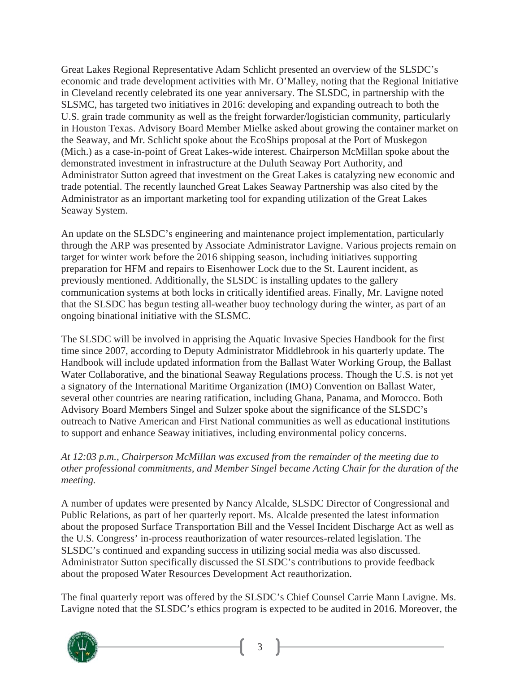Great Lakes Regional Representative Adam Schlicht presented an overview of the SLSDC's economic and trade development activities with Mr. O'Malley, noting that the Regional Initiative in Cleveland recently celebrated its one year anniversary. The SLSDC, in partnership with the SLSMC, has targeted two initiatives in 2016: developing and expanding outreach to both the U.S. grain trade community as well as the freight forwarder/logistician community, particularly in Houston Texas. Advisory Board Member Mielke asked about growing the container market on the Seaway, and Mr. Schlicht spoke about the EcoShips proposal at the Port of Muskegon (Mich.) as a case-in-point of Great Lakes-wide interest. Chairperson McMillan spoke about the demonstrated investment in infrastructure at the Duluth Seaway Port Authority, and Administrator Sutton agreed that investment on the Great Lakes is catalyzing new economic and trade potential. The recently launched Great Lakes Seaway Partnership was also cited by the Administrator as an important marketing tool for expanding utilization of the Great Lakes Seaway System.

An update on the SLSDC's engineering and maintenance project implementation, particularly through the ARP was presented by Associate Administrator Lavigne. Various projects remain on target for winter work before the 2016 shipping season, including initiatives supporting preparation for HFM and repairs to Eisenhower Lock due to the St. Laurent incident, as previously mentioned. Additionally, the SLSDC is installing updates to the gallery communication systems at both locks in critically identified areas. Finally, Mr. Lavigne noted that the SLSDC has begun testing all-weather buoy technology during the winter, as part of an ongoing binational initiative with the SLSMC.

The SLSDC will be involved in apprising the Aquatic Invasive Species Handbook for the first time since 2007, according to Deputy Administrator Middlebrook in his quarterly update. The Handbook will include updated information from the Ballast Water Working Group, the Ballast Water Collaborative, and the binational Seaway Regulations process. Though the U.S. is not yet a signatory of the International Maritime Organization (IMO) Convention on Ballast Water, several other countries are nearing ratification, including Ghana, Panama, and Morocco. Both Advisory Board Members Singel and Sulzer spoke about the significance of the SLSDC's outreach to Native American and First National communities as well as educational institutions to support and enhance Seaway initiatives, including environmental policy concerns.

*At 12:03 p.m., Chairperson McMillan was excused from the remainder of the meeting due to other professional commitments, and Member Singel became Acting Chair for the duration of the meeting.*

A number of updates were presented by Nancy Alcalde, SLSDC Director of Congressional and Public Relations, as part of her quarterly report. Ms. Alcalde presented the latest information about the proposed Surface Transportation Bill and the Vessel Incident Discharge Act as well as the U.S. Congress' in-process reauthorization of water resources-related legislation. The SLSDC's continued and expanding success in utilizing social media was also discussed. Administrator Sutton specifically discussed the SLSDC's contributions to provide feedback about the proposed Water Resources Development Act reauthorization.

The final quarterly report was offered by the SLSDC's Chief Counsel Carrie Mann Lavigne. Ms. Lavigne noted that the SLSDC's ethics program is expected to be audited in 2016. Moreover, the